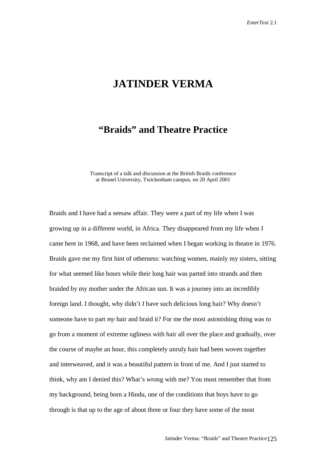## **JATINDER VERMA**

## **"Braids" and Theatre Practice**

Transcript of a talk and discussion at the British Braids conference at Brunel University, Twickenham campus, on 20 April 2001

Braids and I have had a seesaw affair. They were a part of my life when I was growing up in a different world, in Africa. They disappeared from my life when I came here in 1968, and have been reclaimed when I began working in theatre in 1976. Braids gave me my first hint of otherness: watching women, mainly my sisters, sitting for what seemed like hours while their long hair was parted into strands and then braided by my mother under the African sun. It was a journey into an incredibly foreign land. I thought, why didn't *I* have such delicious long hair? Why doesn't someone have to part *my* hair and braid it? For me the most astonishing thing was to go from a moment of extreme ugliness with hair all over the place and gradually, over the course of maybe an hour, this completely unruly hair had been woven together and interweaved, and it was a beautiful pattern in front of me. And I just started to think, why am I denied this? What's wrong with me? You must remember that from my background, being born a Hindu, one of the conditions that boys have to go through is that up to the age of about three or four they have some of the most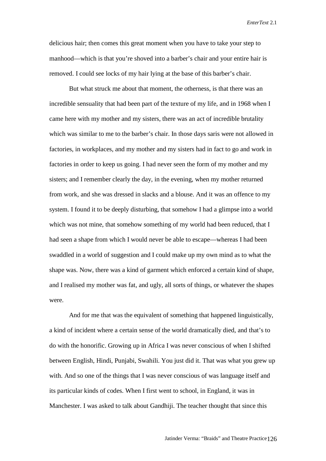delicious hair; then comes this great moment when you have to take your step to manhood—which is that you're shoved into a barber's chair and your entire hair is removed. I could see locks of my hair lying at the base of this barber's chair.

But what struck me about that moment, the otherness, is that there was an incredible sensuality that had been part of the texture of my life, and in 1968 when I came here with my mother and my sisters, there was an act of incredible brutality which was similar to me to the barber's chair. In those days saris were not allowed in factories, in workplaces, and my mother and my sisters had in fact to go and work in factories in order to keep us going. I had never seen the form of my mother and my sisters; and I remember clearly the day, in the evening, when my mother returned from work, and she was dressed in slacks and a blouse. And it was an offence to my system. I found it to be deeply disturbing, that somehow I had a glimpse into a world which was not mine, that somehow something of my world had been reduced, that I had seen a shape from which I would never be able to escape—whereas I had been swaddled in a world of suggestion and I could make up my own mind as to what the shape was. Now, there was a kind of garment which enforced a certain kind of shape, and I realised my mother was fat, and ugly, all sorts of things, or whatever the shapes were.

And for me that was the equivalent of something that happened linguistically, a kind of incident where a certain sense of the world dramatically died, and that's to do with the honorific. Growing up in Africa I was never conscious of when I shifted between English, Hindi, Punjabi, Swahili. You just did it. That was what you grew up with. And so one of the things that I was never conscious of was language itself and its particular kinds of codes. When I first went to school, in England, it was in Manchester. I was asked to talk about Gandhiji. The teacher thought that since this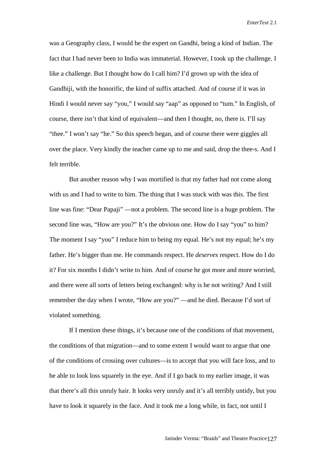was a Geography class, I would be the expert on Gandhi, being a kind of Indian. The fact that I had never been to India was immaterial. However, I took up the challenge. I like a challenge. But I thought how do I call him? I'd grown up with the idea of Gandhiji, with the honorific, the kind of suffix attached. And of course if it was in Hindi I would never say "you," I would say "aap" as opposed to "tum." In English, of course, there isn't that kind of equivalent—and then I thought, no, there is. I'll say "thee." I won't say "he." So this speech began, and of course there were giggles all over the place. Very kindly the teacher came up to me and said, drop the thee-s. And I felt terrible.

But another reason why I was mortified is that my father had not come along with us and I had to write to him. The thing that I was stuck with was this. The first line was fine: "Dear Papaji" —not a problem. The second line is a huge problem. The second line was, "How are you?" It's the obvious one. How do I say "you" to him? The moment I say "you" I reduce him to being my equal. He's not my equal; he's my father. He's bigger than me. He commands respect. He *deserves* respect. How do I do it? For six months I didn't write to him. And of course he got more and more worried, and there were all sorts of letters being exchanged: why is he not writing? And I still remember the day when I wrote, "How are you?" —and he died. Because I'd sort of violated something.

If I mention these things, it's because one of the conditions of that movement, the conditions of that migration—and to some extent I would want to argue that one of the conditions of crossing over cultures—is to accept that you will face loss, and to be able to look loss squarely in the eye. And if I go back to my earlier image, it was that there's all this unruly hair. It looks very unruly and it's all terribly untidy, but you have to look it squarely in the face. And it took me a long while, in fact, not until I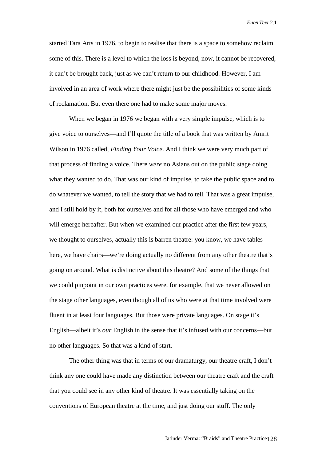started Tara Arts in 1976, to begin to realise that there is a space to somehow reclaim some of this. There is a level to which the loss is beyond, now, it cannot be recovered, it can't be brought back, just as we can't return to our childhood. However, I am involved in an area of work where there might just be the possibilities of some kinds of reclamation. But even there one had to make some major moves.

When we began in 1976 we began with a very simple impulse, which is to give voice to ourselves—and I'll quote the title of a book that was written by Amrit Wilson in 1976 called, *Finding Your Voice*. And I think we were very much part of that process of finding a voice. There *were* no Asians out on the public stage doing what they wanted to do. That was our kind of impulse, to take the public space and to do whatever we wanted, to tell the story that we had to tell. That was a great impulse, and I still hold by it, both for ourselves and for all those who have emerged and who will emerge hereafter. But when we examined our practice after the first few years, we thought to ourselves, actually this is barren theatre: you know, we have tables here, we have chairs—we're doing actually no different from any other theatre that's going on around. What is distinctive about this theatre? And some of the things that we could pinpoint in our own practices were, for example, that we never allowed on the stage other languages, even though all of us who were at that time involved were fluent in at least four languages. But those were private languages. On stage it's English—albeit it's *our* English in the sense that it's infused with our concerns—but no other languages. So that was a kind of start.

The other thing was that in terms of our dramaturgy, our theatre craft, I don't think any one could have made any distinction between our theatre craft and the craft that you could see in any other kind of theatre. It was essentially taking on the conventions of European theatre at the time, and just doing our stuff. The only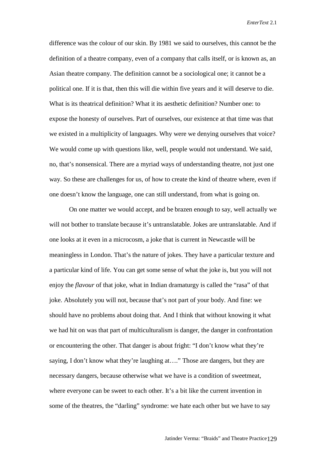difference was the colour of our skin. By 1981 we said to ourselves, this cannot be the definition of a theatre company, even of a company that calls itself, or is known as, an Asian theatre company. The definition cannot be a sociological one; it cannot be a political one. If it is that, then this will die within five years and it will deserve to die. What is its theatrical definition? What it its aesthetic definition? Number one: to expose the honesty of ourselves. Part of ourselves, our existence at that time was that we existed in a multiplicity of languages. Why were we denying ourselves that voice? We would come up with questions like, well, people would not understand. We said, no, that's nonsensical. There are a myriad ways of understanding theatre, not just one way. So these are challenges for us, of how to create the kind of theatre where, even if one doesn't know the language, one can still understand, from what is going on.

On one matter we would accept, and be brazen enough to say, well actually we will not bother to translate because it's untranslatable. Jokes are untranslatable. And if one looks at it even in a microcosm, a joke that is current in Newcastle will be meaningless in London. That's the nature of jokes. They have a particular texture and a particular kind of life. You can get some sense of what the joke is, but you will not enjoy the *flavour* of that joke, what in Indian dramaturgy is called the "rasa" of that joke. Absolutely you will not, because that's not part of your body. And fine: we should have no problems about doing that. And I think that without knowing it what we had hit on was that part of multiculturalism is danger, the danger in confrontation or encountering the other. That danger is about fright: "I don't know what they're saying, I don't know what they're laughing at…." Those are dangers, but they are necessary dangers, because otherwise what we have is a condition of sweetmeat, where everyone can be sweet to each other. It's a bit like the current invention in some of the theatres, the "darling" syndrome: we hate each other but we have to say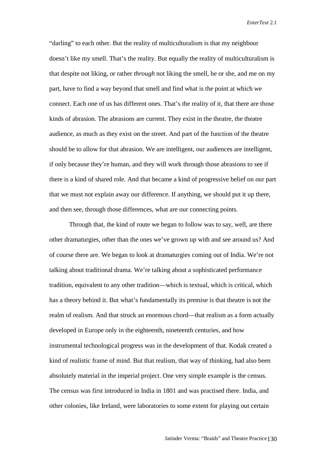"darling" to each other. But the reality of multiculturalism is that my neighbour doesn't like my smell. That's the reality. But equally the reality of multiculturalism is that despite not liking, or rather *through* not liking the smell, he or she, and me on my part, have to find a way beyond that smell and find what is the point at which we connect. Each one of us has different ones. That's the reality of it, that there are those kinds of abrasion. The abrasions are current. They exist in the theatre, the theatre audience, as much as they exist on the street. And part of the function of the theatre should be to allow for that abrasion. We are intelligent, our audiences are intelligent, if only because they're human, and they will work through those abrasions to see if there is a kind of shared role. And that became a kind of progressive belief on our part that we must not explain away our difference. If anything, we should put it up there, and then see, through those differences, what are our connecting points.

Through that, the kind of route we began to follow was to say, well, are there other dramaturgies, other than the ones we've grown up with and see around us? And of course there are. We began to look at dramaturgies coming out of India. We're not talking about traditional drama. We're talking about a sophisticated performance tradition, equivalent to any other tradition—which is textual, which is critical, which has a theory behind it. But what's fundamentally its premise is that theatre is not the realm of realism. And that struck an enormous chord—that realism as a form actually developed in Europe only in the eighteenth, nineteenth centuries, and how instrumental technological progress was in the development of that. Kodak created a kind of realistic frame of mind. But that realism, that way of thinking, had also been absolutely material in the imperial project. One very simple example is the census. The census was first introduced in India in 1801 and was practised there. India, and other colonies, like Ireland, were laboratories to some extent for playing out certain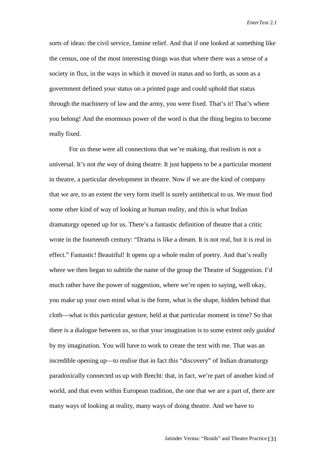sorts of ideas: the civil service, famine relief. And that if one looked at something like the census, one of the most interesting things was that where there was a sense of a society in flux, in the ways in which it moved in status and so forth, as soon as a government defined your status on a printed page and could uphold that status through the machinery of law and the army, you were fixed. That's it! That's where you belong! And the enormous power of the word is that the thing begins to become really fixed.

For us these were all connections that we're making, that realism is not a universal. It's not *the way* of doing theatre. It just happens to be a particular moment in theatre, a particular development in theatre. Now if we are the kind of company that we are, to an extent the very form itself is surely antithetical to us. We must find some other kind of way of looking at human reality, and this is what Indian dramaturgy opened up for us. There's a fantastic definition of theatre that a critic wrote in the fourteenth century: "Drama is like a dream. It is not real, but it is real in effect." Fantastic! Beautiful! It opens up a whole realm of poetry. And that's really where we then began to subtitle the name of the group the Theatre of Suggestion. I'd much rather have the power of suggestion, where we're open to saying, well okay, you make up your own mind what is the form, what is the shape, hidden behind that cloth—what is this particular gesture, held at that particular moment in time? So that there is a dialogue between us, so that your imagination is to some extent only *guided* by my imagination. You will have to work to create the text with me. That was an incredible opening up—to realise that in fact this "discovery" of Indian dramaturgy paradoxically connected us up with Brecht: that, in fact, we're part of another kind of world, and that even within European tradition, the one that we are a part of, there are many ways of looking at reality, many ways of doing theatre. And we have to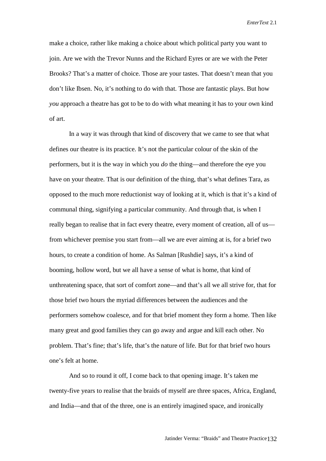make a choice, rather like making a choice about which political party you want to join. Are we with the Trevor Nunns and the Richard Eyres or are we with the Peter Brooks? That's a matter of choice. Those are your tastes. That doesn't mean that you don't like Ibsen. No, it's nothing to do with that. Those are fantastic plays. But how *you* approach a theatre has got to be to do with what meaning it has to your own kind of art.

In a way it was through that kind of discovery that we came to see that what defines our theatre is its practice. It's not the particular colour of the skin of the performers, but it is the way in which you *do* the thing—and therefore the eye you have on your theatre. That is our definition of the thing, that's what defines Tara, as opposed to the much more reductionist way of looking at it, which is that it's a kind of communal thing, signifying a particular community. And through that, is when I really began to realise that in fact every theatre, every moment of creation, all of us from whichever premise you start from—all we are ever aiming at is, for a brief two hours, to create a condition of home. As Salman [Rushdie] says, it's a kind of booming, hollow word, but we all have a sense of what is home, that kind of unthreatening space, that sort of comfort zone—and that's all we all strive for, that for those brief two hours the myriad differences between the audiences and the performers somehow coalesce, and for that brief moment they form a home. Then like many great and good families they can go away and argue and kill each other. No problem. That's fine; that's life, that's the nature of life. But for that brief two hours one's felt at home.

And so to round it off, I come back to that opening image. It's taken me twenty-five years to realise that the braids of myself are three spaces, Africa, England, and India—and that of the three, one is an entirely imagined space, and ironically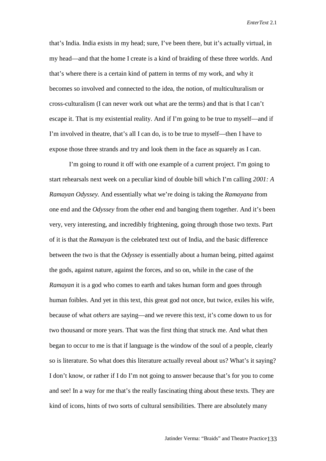that's India. India exists in my head; sure, I've been there, but it's actually virtual, in my head—and that the home I create is a kind of braiding of these three worlds. And that's where there is a certain kind of pattern in terms of my work, and why it becomes so involved and connected to the idea, the notion, of multiculturalism or cross-culturalism (I can never work out what are the terms) and that is that I can't escape it. That is my existential reality. And if I'm going to be true to myself—and if I'm involved in theatre, that's all I can do, is to be true to myself—then I have to expose those three strands and try and look them in the face as squarely as I can.

I'm going to round it off with one example of a current project. I'm going to start rehearsals next week on a peculiar kind of double bill which I'm calling *2001: A Ramayan Odyssey.* And essentially what we're doing is taking the *Ramayana* from one end and the *Odyssey* from the other end and banging them together. And it's been very, very interesting, and incredibly frightening, going through those two texts. Part of it is that the *Ramayan* is the celebrated text out of India, and the basic difference between the two is that the *Odyssey* is essentially about a human being, pitted against the gods, against nature, against the forces, and so on, while in the case of the *Ramayan* it is a god who comes to earth and takes human form and goes through human foibles. And yet in this text, this great god not once, but twice, exiles his wife, because of what *others* are saying—and we revere this text, it's come down to us for two thousand or more years. That was the first thing that struck me. And what then began to occur to me is that if language is the window of the soul of a people, clearly so is literature. So what does this literature actually reveal about us? What's it saying? I don't know, or rather if I do I'm not going to answer because that's for you to come and see! In a way for me that's the really fascinating thing about these texts. They are kind of icons, hints of two sorts of cultural sensibilities. There are absolutely many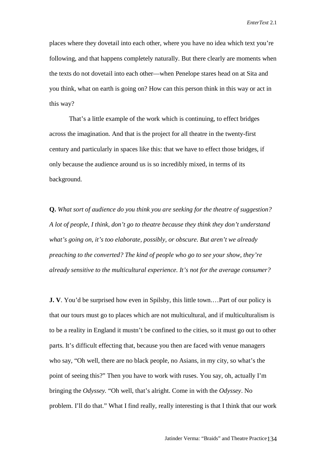places where they dovetail into each other, where you have no idea which text you're following, and that happens completely naturally. But there clearly are moments when the texts do not dovetail into each other—when Penelope stares head on at Sita and you think, what on earth is going on? How can this person think in this way or act in this way?

That's a little example of the work which is continuing, to effect bridges across the imagination. And that is the project for all theatre in the twenty-first century and particularly in spaces like this: that we have to effect those bridges, if only because the audience around us is so incredibly mixed, in terms of its background.

**Q.** *What sort of audience do you think you are seeking for the theatre of suggestion? A lot of people, I think, don't go to theatre because they think they don't understand what's going on, it's too elaborate, possibly, or obscure. But aren't we already preaching to the converted? The kind of people who go to see your show, they're already sensitive to the multicultural experience. It's not for the average consumer?*

**J. V**. You'd be surprised how even in Spilsby, this little town.…Part of our policy is that our tours must go to places which are not multicultural, and if multiculturalism is to be a reality in England it mustn't be confined to the cities, so it must go out to other parts. It's difficult effecting that, because you then are faced with venue managers who say, "Oh well, there are no black people, no Asians, in my city, so what's the point of seeing this?" Then you have to work with ruses. You say, oh, actually I'm bringing the *Odyssey.* "Oh well, that's alright. Come in with the *Odyssey*. No problem. I'll do that." What I find really, really interesting is that I think that our work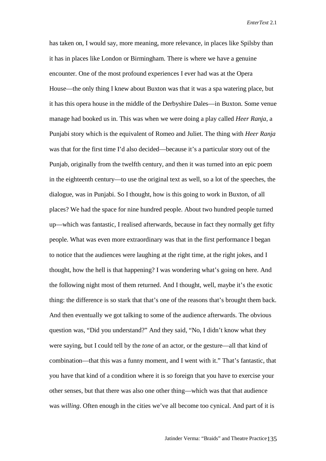has taken on, I would say, more meaning, more relevance, in places like Spilsby than it has in places like London or Birmingham. There is where we have a genuine encounter. One of the most profound experiences I ever had was at the Opera House—the only thing I knew about Buxton was that it was a spa watering place, but it has this opera house in the middle of the Derbyshire Dales—in Buxton. Some venue manage had booked us in. This was when we were doing a play called *Heer Ranja*, a Punjabi story which is the equivalent of Romeo and Juliet. The thing with *Heer Ranja* was that for the first time I'd also decided—because it's a particular story out of the Punjab, originally from the twelfth century, and then it was turned into an epic poem in the eighteenth century—to use the original text as well, so a lot of the speeches, the dialogue, was in Punjabi. So I thought, how is this going to work in Buxton, of all places? We had the space for nine hundred people. About two hundred people turned up—which was fantastic, I realised afterwards, because in fact they normally get fifty people. What was even more extraordinary was that in the first performance I began to notice that the audiences were laughing at the right time, at the right jokes, and I thought, how the hell is that happening? I was wondering what's going on here. And the following night most of them returned. And I thought, well, maybe it's the exotic thing: the difference is so stark that that's one of the reasons that's brought them back. And then eventually we got talking to some of the audience afterwards. The obvious question was, "Did you understand?" And they said, "No, I didn't know what they were saying, but I could tell by the *tone* of an actor, or the gesture—all that kind of combination—that this was a funny moment, and I went with it." That's fantastic, that you have that kind of a condition where it is *so* foreign that you have to exercise your other senses, but that there was also one other thing—which was that that audience was *willing*. Often enough in the cities we've all become too cynical. And part of it is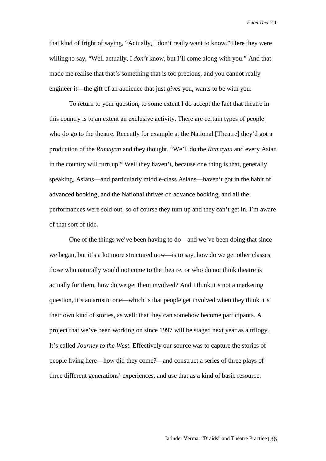that kind of fright of saying, "Actually, I don't really want to know." Here they were willing to say, "Well actually, I *don't* know, but I'll come along with you." And that made me realise that that's something that is too precious, and you cannot really engineer it—the gift of an audience that just *gives* you, wants to be with you.

To return to your question, to some extent I do accept the fact that theatre in this country is to an extent an exclusive activity. There are certain types of people who do go to the theatre. Recently for example at the National [Theatre] they'd got a production of the *Ramayan* and they thought, "We'll do the *Ramayan* and every Asian in the country will turn up." Well they haven't, because one thing is that, generally speaking, Asians—and particularly middle-class Asians—haven't got in the habit of advanced booking, and the National thrives on advance booking, and all the performances were sold out, so of course they turn up and they can't get in. I'm aware of that sort of tide.

One of the things we've been having to do—and we've been doing that since we began, but it's a lot more structured now—is to say, how do we get other classes, those who naturally would not come to the theatre, or who do not think theatre is actually for them, how do we get them involved? And I think it's not a marketing question, it's an artistic one—which is that people get involved when they think it's their own kind of stories, as well: that they can somehow become participants. A project that we've been working on since 1997 will be staged next year as a trilogy. It's called *Journey to the West*. Effectively our source was to capture the stories of people living here—how did they come?—and construct a series of three plays of three different generations' experiences, and use that as a kind of basic resource.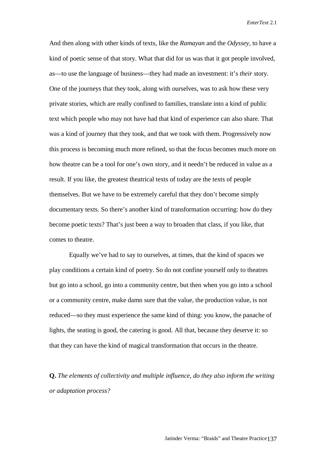And then along with other kinds of texts, like the *Ramayan* and the *Odyssey,* to have a kind of poetic sense of that story. What that did for us was that it got people involved, as—to use the language of business—they had made an investment: it's *their* story. One of the journeys that they took, along with ourselves, was to ask how these very private stories, which are really confined to families, translate into a kind of public text which people who may not have had that kind of experience can also share. That was a kind of journey that they took, and that we took with them. Progressively now this process is becoming much more refined, so that the focus becomes much more on how theatre can be a tool for one's own story, and it needn't be reduced in value as a result. If you like, the greatest theatrical texts of today are the texts of people themselves. But we have to be extremely careful that they don't become simply documentary texts. So there's another kind of transformation occurring: how do they become poetic texts? That's just been a way to broaden that class, if you like, that comes to theatre.

Equally we've had to say to ourselves, at times, that the kind of spaces we play conditions a certain kind of poetry. So do not confine yourself only to theatres but go into a school, go into a community centre, but then when you go into a school or a community centre, make damn sure that the value, the production value, is not reduced—so they must experience the same kind of thing: you know, the panache of lights, the seating is good, the catering is good. All that, because they deserve it: so that they can have the kind of magical transformation that occurs in the theatre.

**Q.** *The elements of collectivity and multiple influence, do they also inform the writing or adaptation process?*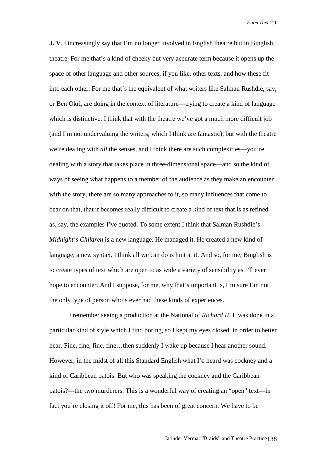**J. V**. I increasingly say that I'm no longer involved in English theatre but in Binglish theatre. For me that's a kind of cheeky but very accurate term because it opens up the space of other language and other sources, if you like, other texts, and how these fit into each other. For me that's the equivalent of what writers like Salman Rushdie, say, or Ben Okri, are doing in the context of literature—trying to create a kind of language which is distinctive. I think that with the theatre we've got a much more difficult job (and I'm not undervaluing the writers, which I think are fantastic), but with the theatre we're dealing with *all* the senses, and I think there are such complexities—you're dealing with a story that takes place in three-dimensional space—and so the kind of ways of seeing what happens to a member of the audience as they make an encounter with the story, there are so many approaches to it, so many influences that come to bear on that, that it becomes really difficult to create a kind of text that is as refined as, say, the examples I've quoted. To some extent I think that Salman Rushdie's *Midnight's Children* is a new language. He managed it. He created a new kind of language, a new syntax. I think all we can do is hint at it. And so, for me, Binglish is to create types of text which are open to as wide a variety of sensibility as I'll ever hope to encounter. And I suppose, for me, why that's important is, I'm sure I'm not the only type of person who's ever had these kinds of experiences.

I remember seeing a production at the National of *Richard II*. It was done in a particular kind of style which I find boring, so I kept my eyes closed, in order to better hear. Fine, fine, fine, fine...then suddenly I wake up because I hear another sound. However, in the midst of all this Standard English what I'd heard was cockney and a kind of Caribbean patois. But who was speaking the cockney and the Caribbean patois?—the two murderers. This is a wonderful way of creating an "open" text—in fact you're closing it off! For me, this has been of great concern. We have to be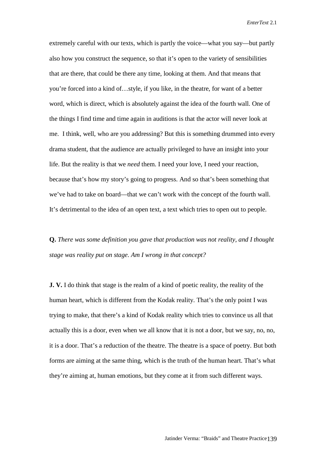extremely careful with our texts, which is partly the voice—what you say—but partly also how you construct the sequence, so that it's open to the variety of sensibilities that are there, that could be there any time, looking at them. And that means that you're forced into a kind of…style, if you like, in the theatre, for want of a better word, which is direct, which is absolutely against the idea of the fourth wall. One of the things I find time and time again in auditions is that the actor will never look at me. I think, well, who are you addressing? But this is something drummed into every drama student, that the audience are actually privileged to have an insight into your life. But the reality is that we *need* them. I need your love, I need your reaction, because that's how my story's going to progress. And so that's been something that we've had to take on board—that we can't work with the concept of the fourth wall. It's detrimental to the idea of an open text, a text which tries to open out to people.

**Q.** *There was some definition you gave that production was not reality, and I thought stage was reality put on stage. Am I wrong in that concept?*

**J. V.** I do think that stage is the realm of a kind of poetic reality, the reality of the human heart, which is different from the Kodak reality. That's the only point I was trying to make, that there's a kind of Kodak reality which tries to convince us all that actually this is a door, even when we all know that it is not a door, but we say, no, no, it is a door. That's a reduction of the theatre. The theatre is a space of poetry. But both forms are aiming at the same thing, which is the truth of the human heart. That's what they're aiming at, human emotions, but they come at it from such different ways.